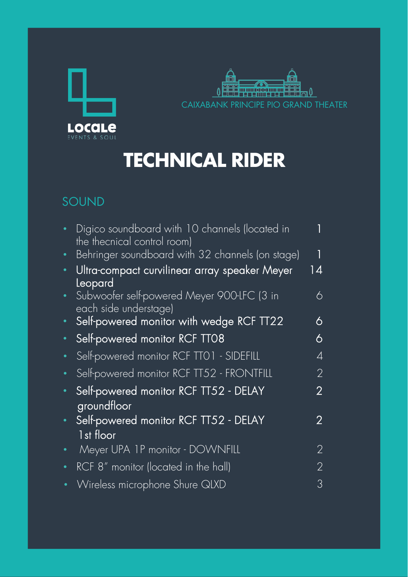



## **TECHNICAL RIDER**

## SOUND

| Digico soundboard with 10 channels (located in<br>the thecnical control room)  |    |
|--------------------------------------------------------------------------------|----|
| Behringer soundboard with 32 channels (on stage)                               |    |
| Ultra-compact curvilinear array speaker Meyer                                  | 14 |
| Leopard<br>Subwoofer self-powered Meyer 900-LFC (3 in<br>each side understage) | 6  |
| Self-powered monitor with wedge RCF TT22                                       | 6  |
| Self-powered monitor RCF TT08                                                  | 6  |
| Self-powered monitor RCF TTO1 - SIDEFILL                                       | 4  |
| Self-powered monitor RCF TT52 - FRONTFILL                                      | 2  |
| Self-powered monitor RCF TT52 - DELAY<br>groundfloor                           | 2  |
| Self-powered monitor RCF TT52 - DELAY<br>1st floor                             | 2  |
| Meyer UPA 1P monitor - DOWNFILL                                                | 2  |
| RCF 8" monitor (located in the hall)                                           | 2  |
| Wireless microphone Shure QLXD                                                 | З  |